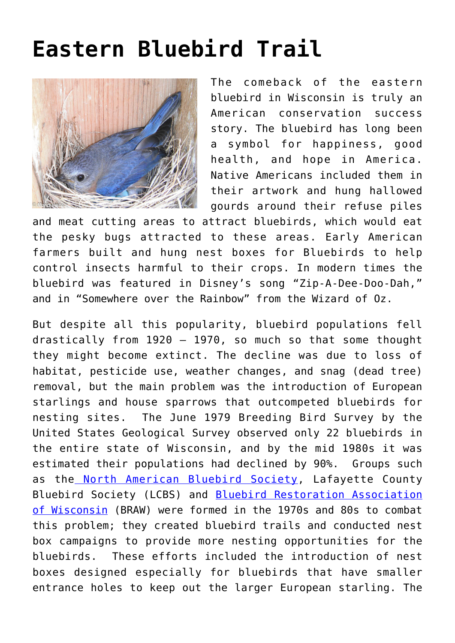## **[Eastern Bluebird Trail](https://driftlessprairies.org/citizen-science/14977-2/)**



The comeback of the eastern bluebird in Wisconsin is truly an American conservation success story. The bluebird has long been a symbol for happiness, good health, and hope in America. Native Americans included them in their artwork and hung hallowed gourds around their refuse piles

and meat cutting areas to attract bluebirds, which would eat the pesky bugs attracted to these areas. Early American farmers built and hung nest boxes for Bluebirds to help control insects harmful to their crops. In modern times the bluebird was featured in Disney's song "Zip-A-Dee-Doo-Dah," and in "Somewhere over the Rainbow" from the Wizard of Oz.

But despite all this popularity, bluebird populations fell drastically from  $1920 - 1970$ , so much so that some thought they might become extinct. The decline was due to loss of habitat, pesticide use, weather changes, and snag (dead tree) removal, but the main problem was the introduction of European starlings and house sparrows that outcompeted bluebirds for nesting sites. The June 1979 Breeding Bird Survey by the United States Geological Survey observed only 22 bluebirds in the entire state of Wisconsin, and by the mid 1980s it was estimated their populations had declined by 90%. Groups such as the [North American Bluebird Society,](http://www.nabluebirdsociety.org/) Lafayette County Bluebird Society (LCBS) and [Bluebird Restoration Association](http://www.braw.org/) [of Wisconsin](http://www.braw.org/) (BRAW) were formed in the 1970s and 80s to combat this problem; they created bluebird trails and conducted nest box campaigns to provide more nesting opportunities for the bluebirds. These efforts included the introduction of nest boxes designed especially for bluebirds that have smaller entrance holes to keep out the larger European starling. The